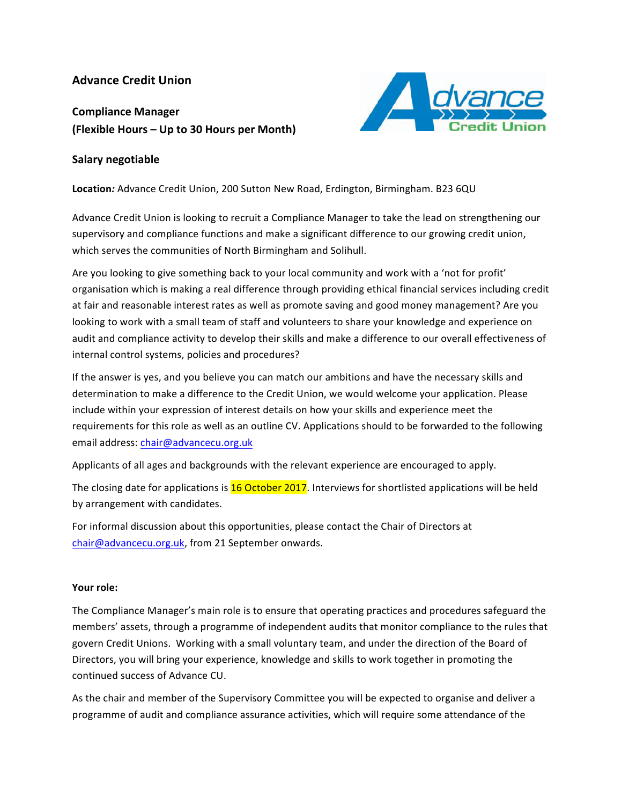## **Advance Credit Union**

# **Compliance Manager (Flexible Hours – Up to 30 Hours per Month)**



#### **Salary negotiable**

Location: Advance Credit Union, 200 Sutton New Road, Erdington, Birmingham. B23 6QU

Advance Credit Union is looking to recruit a Compliance Manager to take the lead on strengthening our supervisory and compliance functions and make a significant difference to our growing credit union, which serves the communities of North Birmingham and Solihull.

Are you looking to give something back to your local community and work with a 'not for profit' organisation which is making a real difference through providing ethical financial services including credit at fair and reasonable interest rates as well as promote saving and good money management? Are you looking to work with a small team of staff and volunteers to share your knowledge and experience on audit and compliance activity to develop their skills and make a difference to our overall effectiveness of internal control systems, policies and procedures?

If the answer is yes, and you believe you can match our ambitions and have the necessary skills and determination to make a difference to the Credit Union, we would welcome your application. Please include within your expression of interest details on how your skills and experience meet the requirements for this role as well as an outline CV. Applications should to be forwarded to the following email address: chair@advancecu.org.uk

Applicants of all ages and backgrounds with the relevant experience are encouraged to apply.

The closing date for applications is  $16$  October 2017. Interviews for shortlisted applications will be held by arrangement with candidates.

For informal discussion about this opportunities, please contact the Chair of Directors at chair@advancecu.org.uk, from 21 September onwards.

#### Your role:

The Compliance Manager's main role is to ensure that operating practices and procedures safeguard the members' assets, through a programme of independent audits that monitor compliance to the rules that govern Credit Unions. Working with a small voluntary team, and under the direction of the Board of Directors, you will bring your experience, knowledge and skills to work together in promoting the continued success of Advance CU.

As the chair and member of the Supervisory Committee you will be expected to organise and deliver a programme of audit and compliance assurance activities, which will require some attendance of the